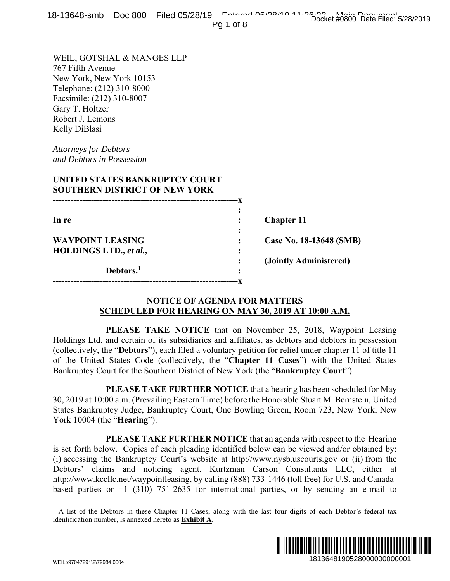Pg 1 of 8

WEIL, GOTSHAL & MANGES LLP 767 Fifth Avenue New York, New York 10153 Telephone: (212) 310-8000 Facsimile: (212) 310-8007 Gary T. Holtzer

Robert J. Lemons Kelly DiBlasi

*Attorneys for Debtors and Debtors in Possession* 

## **UNITED STATES BANKRUPTCY COURT SOUTHERN DISTRICT OF NEW YORK**

| In re                   |   | <b>Chapter 11</b>       |
|-------------------------|---|-------------------------|
|                         | ٠ |                         |
| <b>WAYPOINT LEASING</b> |   | Case No. 18-13648 (SMB) |
| HOLDINGS LTD., et al.,  | ٠ |                         |
|                         |   | (Jointly Administered)  |
| Debtors. <sup>1</sup>   | ٠ |                         |
|                         |   |                         |

#### **NOTICE OF AGENDA FOR MATTERS SCHEDULED FOR HEARING ON MAY 30, 2019 AT 10:00 A.M.**

 **PLEASE TAKE NOTICE** that on November 25, 2018, Waypoint Leasing Holdings Ltd. and certain of its subsidiaries and affiliates, as debtors and debtors in possession (collectively, the "**Debtors**"), each filed a voluntary petition for relief under chapter 11 of title 11 of the United States Code (collectively, the "**Chapter 11 Cases**") with the United States Bankruptcy Court for the Southern District of New York (the "**Bankruptcy Court**").

 **PLEASE TAKE FURTHER NOTICE** that a hearing has been scheduled for May 30, 2019 at 10:00 a.m. (Prevailing Eastern Time) before the Honorable Stuart M. Bernstein, United States Bankruptcy Judge, Bankruptcy Court, One Bowling Green, Room 723, New York, New York 10004 (the "**Hearing**").

 **PLEASE TAKE FURTHER NOTICE** that an agenda with respect to the Hearing is set forth below. Copies of each pleading identified below can be viewed and/or obtained by: (i) accessing the Bankruptcy Court's website at http://www.nysb.uscourts.gov or (ii) from the Debtors' claims and noticing agent, Kurtzman Carson Consultants LLC, either at http://www.kccllc.net/waypointleasing, by calling (888) 733-1446 (toll free) for U.S. and Canadabased parties or  $+1$  (310) 751-2635 for international parties, or by sending an e-mail to 18648 (SMB)<br>
1813648 (SMB)<br>
1813648 (SMB)<br>
1913648 (SMB)<br>
1913648 (altons in possession<br>
191364 chapter 11 of title 11<br>
1914 with the United States<br>
tey Court").<br>
Soen scheduled for May<br>
1923, New York, New<br>
1923, New Yor

<sup>&</sup>lt;sup>1</sup> A list of the Debtors in these Chapter 11 Cases, along with the last four digits of each Debtor's federal tax identification number, is annexed hereto as **Exhibit A**.



 $\overline{a}$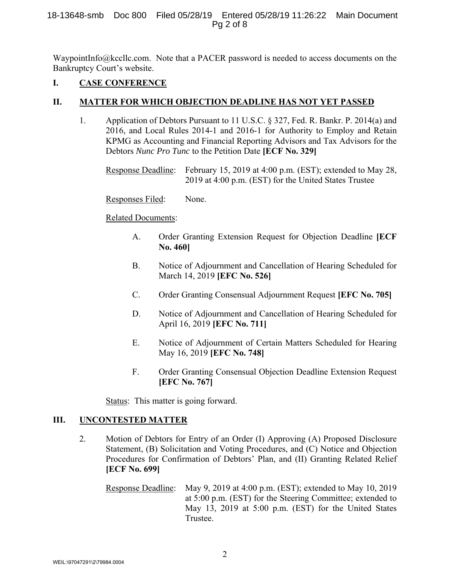#### 18-13648-smb Doc 800 Filed 05/28/19 Entered 05/28/19 11:26:22 Main Document Pg 2 of 8

WaypointInfo@kccllc.com. Note that a PACER password is needed to access documents on the Bankruptcy Court's website.

## **I. CASE CONFERENCE**

## **II. MATTER FOR WHICH OBJECTION DEADLINE HAS NOT YET PASSED**

1. Application of Debtors Pursuant to 11 U.S.C. § 327, Fed. R. Bankr. P. 2014(a) and 2016, and Local Rules 2014-1 and 2016-1 for Authority to Employ and Retain KPMG as Accounting and Financial Reporting Advisors and Tax Advisors for the Debtors *Nunc Pro Tunc* to the Petition Date **[ECF No. 329]**

 Response Deadline: February 15, 2019 at 4:00 p.m. (EST); extended to May 28, 2019 at 4:00 p.m. (EST) for the United States Trustee

Responses Filed: None.

Related Documents:

- A. Order Granting Extension Request for Objection Deadline **[ECF No. 460]**
- B. Notice of Adjournment and Cancellation of Hearing Scheduled for March 14, 2019 **[EFC No. 526]**
- C. Order Granting Consensual Adjournment Request **[EFC No. 705]**
- D. Notice of Adjournment and Cancellation of Hearing Scheduled for April 16, 2019 **[EFC No. 711]**
- E. Notice of Adjournment of Certain Matters Scheduled for Hearing May 16, 2019 **[EFC No. 748]**
- F. Order Granting Consensual Objection Deadline Extension Request **[EFC No. 767]**

Status: This matter is going forward.

#### **III. UNCONTESTED MATTER**

2. Motion of Debtors for Entry of an Order (I) Approving (A) Proposed Disclosure Statement, (B) Solicitation and Voting Procedures, and (C) Notice and Objection Procedures for Confirmation of Debtors' Plan, and (II) Granting Related Relief **[ECF No. 699]**

Response Deadline: May 9, 2019 at 4:00 p.m. (EST); extended to May 10, 2019 at 5:00 p.m. (EST) for the Steering Committee; extended to May 13, 2019 at 5:00 p.m. (EST) for the United States Trustee.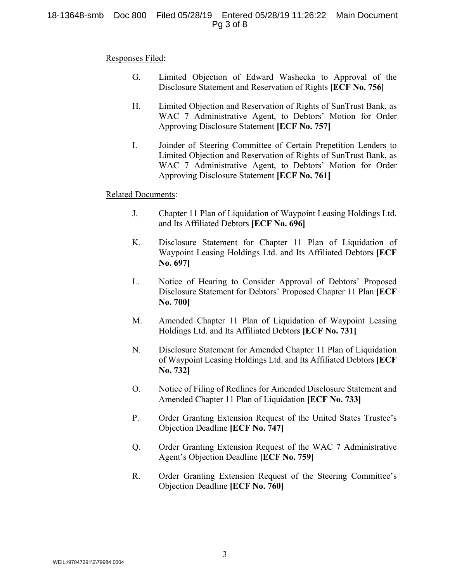#### 18-13648-smb Doc 800 Filed 05/28/19 Entered 05/28/19 11:26:22 Main Document Pg 3 of 8

#### Responses Filed:

- G. Limited Objection of Edward Washecka to Approval of the Disclosure Statement and Reservation of Rights **[ECF No. 756]**
- H. Limited Objection and Reservation of Rights of SunTrust Bank, as WAC 7 Administrative Agent, to Debtors' Motion for Order Approving Disclosure Statement **[ECF No. 757]**
- I. Joinder of Steering Committee of Certain Prepetition Lenders to Limited Objection and Reservation of Rights of SunTrust Bank, as WAC 7 Administrative Agent, to Debtors' Motion for Order Approving Disclosure Statement **[ECF No. 761]**

#### Related Documents:

- J. Chapter 11 Plan of Liquidation of Waypoint Leasing Holdings Ltd. and Its Affiliated Debtors **[ECF No. 696]**
- K. Disclosure Statement for Chapter 11 Plan of Liquidation of Waypoint Leasing Holdings Ltd. and Its Affiliated Debtors **[ECF No. 697]**
- L. Notice of Hearing to Consider Approval of Debtors' Proposed Disclosure Statement for Debtors' Proposed Chapter 11 Plan **[ECF No. 700]**
- M. Amended Chapter 11 Plan of Liquidation of Waypoint Leasing Holdings Ltd. and Its Affiliated Debtors **[ECF No. 731]**
- N. Disclosure Statement for Amended Chapter 11 Plan of Liquidation of Waypoint Leasing Holdings Ltd. and Its Affiliated Debtors **[ECF No. 732]**
- O. Notice of Filing of Redlines for Amended Disclosure Statement and Amended Chapter 11 Plan of Liquidation **[ECF No. 733]**
- P. Order Granting Extension Request of the United States Trustee's Objection Deadline **[ECF No. 747]**
- Q. Order Granting Extension Request of the WAC 7 Administrative Agent's Objection Deadline **[ECF No. 759]**
- R. Order Granting Extension Request of the Steering Committee's Objection Deadline **[ECF No. 760]**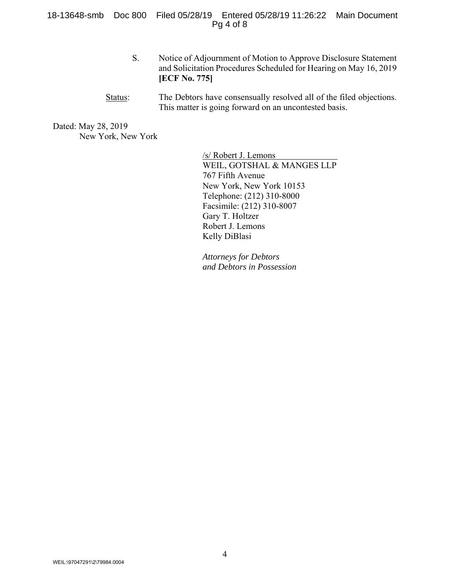18-13648-smb Doc 800 Filed 05/28/19 Entered 05/28/19 11:26:22 Main Document Pg 4 of 8

- S. Notice of Adjournment of Motion to Approve Disclosure Statement and Solicitation Procedures Scheduled for Hearing on May 16, 2019 **[ECF No. 775]**
- Status: The Debtors have consensually resolved all of the filed objections. This matter is going forward on an uncontested basis.

Dated: May 28, 2019 New York, New York

> /s/ Robert J. Lemons WEIL, GOTSHAL & MANGES LLP 767 Fifth Avenue New York, New York 10153 Telephone: (212) 310-8000 Facsimile: (212) 310-8007 Gary T. Holtzer Robert J. Lemons Kelly DiBlasi

*Attorneys for Debtors and Debtors in Possession*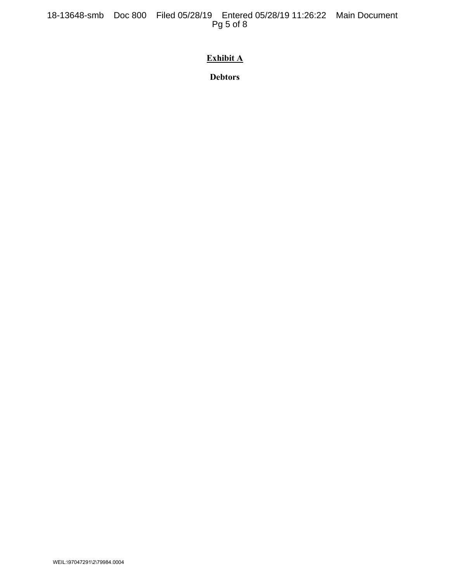18-13648-smb Doc 800 Filed 05/28/19 Entered 05/28/19 11:26:22 Main Document Pg 5 of 8

# **Exhibit A**

**Debtors**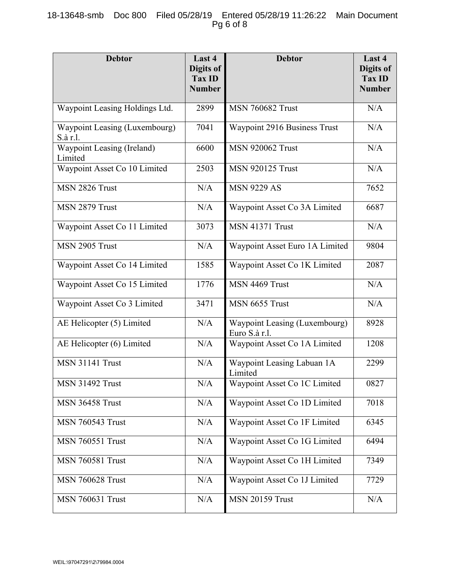## 18-13648-smb Doc 800 Filed 05/28/19 Entered 05/28/19 11:26:22 Main Document Pg 6 of 8

| <b>Debtor</b>                             | Last 4<br>Digits of<br><b>Tax ID</b><br><b>Number</b> | <b>Debtor</b>                                  | Last 4<br>Digits of<br><b>Tax ID</b><br><b>Number</b> |
|-------------------------------------------|-------------------------------------------------------|------------------------------------------------|-------------------------------------------------------|
| Waypoint Leasing Holdings Ltd.            | 2899                                                  | <b>MSN 760682 Trust</b>                        | N/A                                                   |
| Waypoint Leasing (Luxembourg)<br>S.à r.l. | 7041                                                  | Waypoint 2916 Business Trust                   | N/A                                                   |
| Waypoint Leasing (Ireland)<br>Limited     | 6600                                                  | <b>MSN 920062 Trust</b>                        | N/A                                                   |
| Waypoint Asset Co 10 Limited              | 2503                                                  | <b>MSN 920125 Trust</b>                        | N/A                                                   |
| MSN 2826 Trust                            | N/A                                                   | <b>MSN 9229 AS</b>                             | 7652                                                  |
| MSN 2879 Trust                            | N/A                                                   | Waypoint Asset Co 3A Limited                   | 6687                                                  |
| Waypoint Asset Co 11 Limited              | 3073                                                  | <b>MSN 41371 Trust</b>                         | N/A                                                   |
| MSN 2905 Trust                            | N/A                                                   | Waypoint Asset Euro 1A Limited                 | 9804                                                  |
| Waypoint Asset Co 14 Limited              | 1585                                                  | Waypoint Asset Co 1K Limited                   | 2087                                                  |
| Waypoint Asset Co 15 Limited              | 1776                                                  | MSN 4469 Trust                                 | N/A                                                   |
| Waypoint Asset Co 3 Limited               | 3471                                                  | MSN 6655 Trust                                 | N/A                                                   |
| AE Helicopter (5) Limited                 | N/A                                                   | Waypoint Leasing (Luxembourg)<br>Euro S.à r.l. | 8928                                                  |
| AE Helicopter (6) Limited                 | N/A                                                   | Waypoint Asset Co 1A Limited                   | 1208                                                  |
| <b>MSN 31141 Trust</b>                    | N/A                                                   | Waypoint Leasing Labuan 1A<br>Limited          | 2299                                                  |
| <b>MSN 31492 Trust</b>                    | N/A                                                   | Waypoint Asset Co 1C Limited                   | 0827                                                  |
| <b>MSN 36458 Trust</b>                    | N/A                                                   | Waypoint Asset Co 1D Limited                   | 7018                                                  |
| <b>MSN 760543 Trust</b>                   | N/A                                                   | Waypoint Asset Co 1F Limited                   | 6345                                                  |
| <b>MSN 760551 Trust</b>                   | N/A                                                   | Waypoint Asset Co 1G Limited                   | 6494                                                  |
| <b>MSN 760581 Trust</b>                   | N/A                                                   | Waypoint Asset Co 1H Limited                   | 7349                                                  |
| <b>MSN 760628 Trust</b>                   | N/A                                                   | Waypoint Asset Co 1J Limited                   | 7729                                                  |
| <b>MSN 760631 Trust</b>                   | N/A                                                   | <b>MSN 20159 Trust</b>                         | N/A                                                   |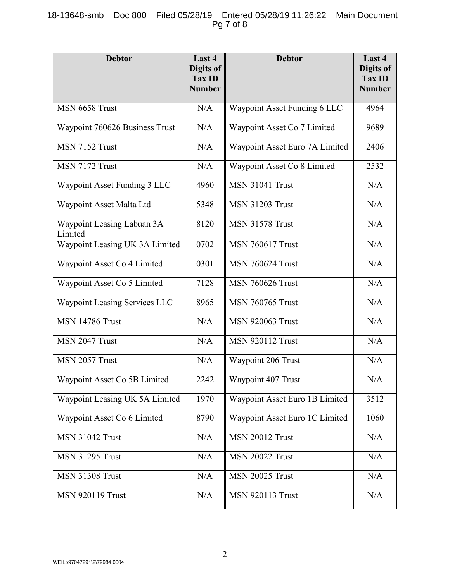## 18-13648-smb Doc 800 Filed 05/28/19 Entered 05/28/19 11:26:22 Main Document Pg 7 of 8

| <b>Debtor</b>                         | Last 4<br>Digits of<br>Tax ID<br><b>Number</b> | <b>Debtor</b>                  | Last 4<br>Digits of<br><b>Tax ID</b><br><b>Number</b> |
|---------------------------------------|------------------------------------------------|--------------------------------|-------------------------------------------------------|
| MSN 6658 Trust                        | N/A                                            | Waypoint Asset Funding 6 LLC   | 4964                                                  |
| Waypoint 760626 Business Trust        | N/A                                            | Waypoint Asset Co 7 Limited    | 9689                                                  |
| MSN 7152 Trust                        | N/A                                            | Waypoint Asset Euro 7A Limited | 2406                                                  |
| MSN 7172 Trust                        | N/A                                            | Waypoint Asset Co 8 Limited    | 2532                                                  |
| Waypoint Asset Funding 3 LLC          | 4960                                           | <b>MSN 31041 Trust</b>         | N/A                                                   |
| Waypoint Asset Malta Ltd              | 5348                                           | <b>MSN 31203 Trust</b>         | N/A                                                   |
| Waypoint Leasing Labuan 3A<br>Limited | 8120                                           | <b>MSN 31578 Trust</b>         | N/A                                                   |
| Waypoint Leasing UK 3A Limited        | 0702                                           | <b>MSN 760617 Trust</b>        | N/A                                                   |
| Waypoint Asset Co 4 Limited           | 0301                                           | <b>MSN 760624 Trust</b>        | N/A                                                   |
| Waypoint Asset Co 5 Limited           | 7128                                           | <b>MSN 760626 Trust</b>        | N/A                                                   |
| Waypoint Leasing Services LLC         | 8965                                           | <b>MSN 760765 Trust</b>        | N/A                                                   |
| <b>MSN 14786 Trust</b>                | N/A                                            | <b>MSN 920063 Trust</b>        | N/A                                                   |
| MSN 2047 Trust                        | N/A                                            | <b>MSN 920112 Trust</b>        | N/A                                                   |
| MSN 2057 Trust                        | N/A                                            | Waypoint 206 Trust             | N/A                                                   |
| Waypoint Asset Co 5B Limited          | 2242                                           | Waypoint 407 Trust             | $\rm N/A$                                             |
| Waypoint Leasing UK 5A Limited        | 1970                                           | Waypoint Asset Euro 1B Limited | 3512                                                  |
| Waypoint Asset Co 6 Limited           | 8790                                           | Waypoint Asset Euro 1C Limited | 1060                                                  |
| <b>MSN 31042 Trust</b>                | N/A                                            | <b>MSN 20012 Trust</b>         | $\rm N/A$                                             |
| <b>MSN 31295 Trust</b>                | N/A                                            | <b>MSN 20022 Trust</b>         | N/A                                                   |
| <b>MSN 31308 Trust</b>                | N/A                                            | <b>MSN 20025 Trust</b>         | N/A                                                   |
| <b>MSN 920119 Trust</b>               | N/A                                            | <b>MSN 920113 Trust</b>        | N/A                                                   |